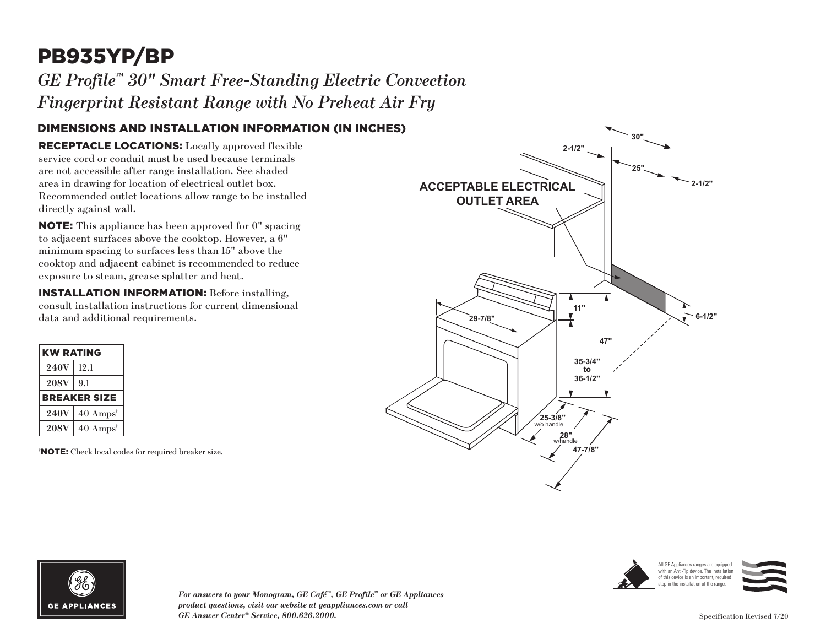# PB935YP/BP

*GE Profile™ 30" Smart Free-Standing Electric Convection Fingerprint Resistant Range with No Preheat Air Fry* 

#### DIMENSIONS AND INSTALLATION INFORMATION (IN INCHES)

RECEPTACLE LOCATIONS: Locally approved flexible service cord or conduit must be used because terminals are not accessible after range installation. See shaded area in drawing for location of electrical outlet box. Recommended outlet locations allow range to be installed directly against wall.

NOTE: This appliance has been approved for 0" spacing to adjacent surfaces above the cooktop. However, a 6" minimum spacing to surfaces less than 15" above the cooktop and adjacent cabinet is recommended to reduce exposure to steam, grease splatter and heat.

INSTALLATION INFORMATION: Before installing, consult installation instructions for current dimensional data and additional requirements.

| <b>KW RATING</b>    |                             |
|---------------------|-----------------------------|
| <b>240V</b>         | 12.1                        |
| <b>208V</b>         | 9.1                         |
| <b>BREAKER SIZE</b> |                             |
| <b>240V</b>         | $40 \text{ Amps}^{\dagger}$ |
| <b>208V</b>         | $40 \text{ Amps}^{\dagger}$ |

† NOTE: Check local codes for required breaker size.





*For answers to your Monogram, GE Café™, GE Profile™ or GE Appliances product questions, visit our website at geappliances.com or call GE Answer Center® Service, 800.626.2000.* Specification Revised 7/20



All GE Appliances ranges are equipped with an Anti-Tip device. The installation of this device is an important, required step in the installation of the range